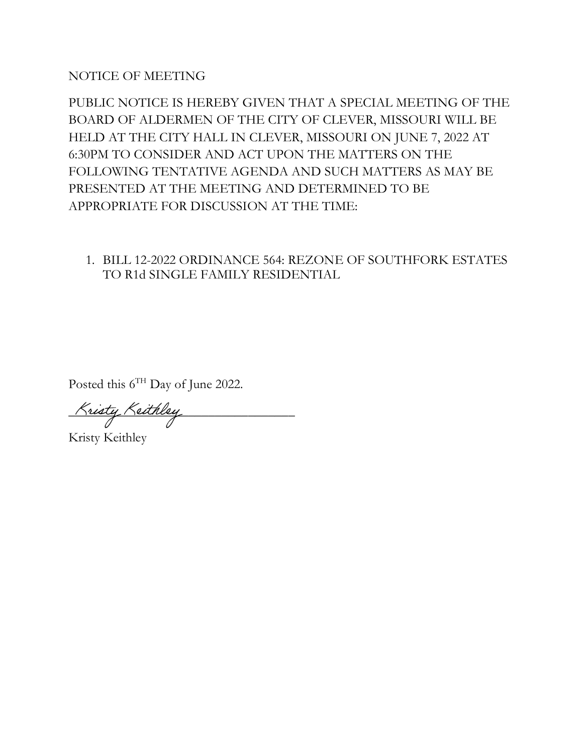NOTICE OF MEETING

PUBLIC NOTICE IS HEREBY GIVEN THAT A SPECIAL MEETING OF THE BOARD OF ALDERMEN OF THE CITY OF CLEVER, MISSOURI WILL BE HELD AT THE CITY HALL IN CLEVER, MISSOURI ON JUNE 7, 2022 AT 6:30PM TO CONSIDER AND ACT UPON THE MATTERS ON THE FOLLOWING TENTATIVE AGENDA AND SUCH MATTERS AS MAY BE PRESENTED AT THE MEETING AND DETERMINED TO BE APPROPRIATE FOR DISCUSSION AT THE TIME:

1. BILL 12-2022 ORDINANCE 564: REZONE OF SOUTHFORK ESTATES TO R1d SINGLE FAMILY RESIDENTIAL

Posted this 6<sup>TH</sup> Day of June 2022.

Kristy Keithley

Kristy Keithley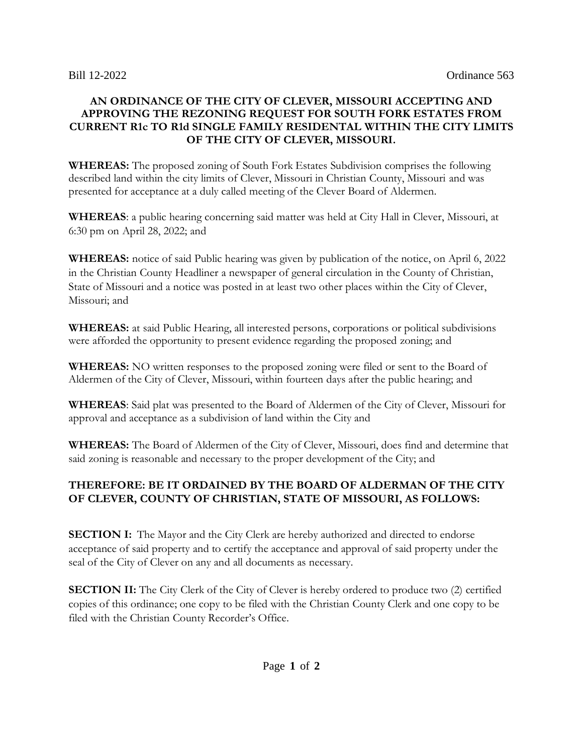## **AN ORDINANCE OF THE CITY OF CLEVER, MISSOURI ACCEPTING AND APPROVING THE REZONING REQUEST FOR SOUTH FORK ESTATES FROM CURRENT R1c TO R1d SINGLE FAMILY RESIDENTAL WITHIN THE CITY LIMITS OF THE CITY OF CLEVER, MISSOURI.**

**WHEREAS:** The proposed zoning of South Fork Estates Subdivision comprises the following described land within the city limits of Clever, Missouri in Christian County, Missouri and was presented for acceptance at a duly called meeting of the Clever Board of Aldermen.

**WHEREAS**: a public hearing concerning said matter was held at City Hall in Clever, Missouri, at 6:30 pm on April 28, 2022; and

**WHEREAS:** notice of said Public hearing was given by publication of the notice, on April 6, 2022 in the Christian County Headliner a newspaper of general circulation in the County of Christian, State of Missouri and a notice was posted in at least two other places within the City of Clever, Missouri; and

**WHEREAS:** at said Public Hearing, all interested persons, corporations or political subdivisions were afforded the opportunity to present evidence regarding the proposed zoning; and

**WHEREAS:** NO written responses to the proposed zoning were filed or sent to the Board of Aldermen of the City of Clever, Missouri, within fourteen days after the public hearing; and

**WHEREAS**: Said plat was presented to the Board of Aldermen of the City of Clever, Missouri for approval and acceptance as a subdivision of land within the City and

**WHEREAS:** The Board of Aldermen of the City of Clever, Missouri, does find and determine that said zoning is reasonable and necessary to the proper development of the City; and

## **THEREFORE: BE IT ORDAINED BY THE BOARD OF ALDERMAN OF THE CITY OF CLEVER, COUNTY OF CHRISTIAN, STATE OF MISSOURI, AS FOLLOWS:**

**SECTION I:** The Mayor and the City Clerk are hereby authorized and directed to endorse acceptance of said property and to certify the acceptance and approval of said property under the seal of the City of Clever on any and all documents as necessary.

**SECTION II:** The City Clerk of the City of Clever is hereby ordered to produce two (2) certified copies of this ordinance; one copy to be filed with the Christian County Clerk and one copy to be filed with the Christian County Recorder's Office.